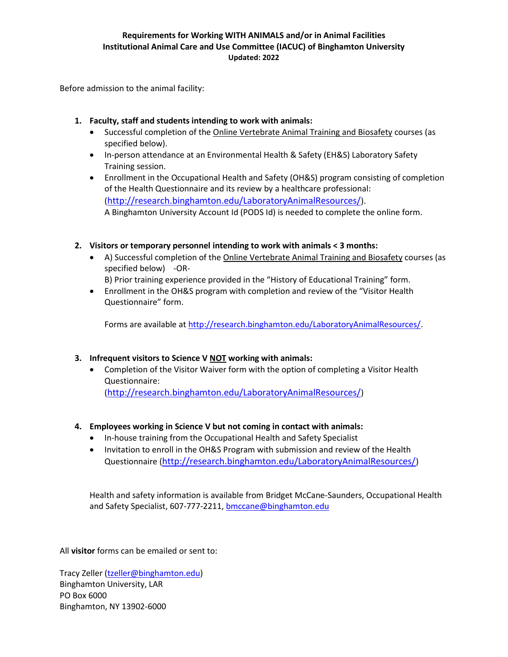# **Requirements for Working WITH ANIMALS and/or in Animal Facilities Institutional Animal Care and Use Committee (IACUC) of Binghamton University Updated: 2022**

Before admission to the animal facility:

- **1. Faculty, staff and students intending to work with animals:**
	- Successful completion of the Online Vertebrate Animal Training and Biosafety courses (as specified below).
	- In-person attendance at an Environmental Health & Safety (EH&S) Laboratory Safety Training session.
	- Enrollment in the Occupational Health and Safety (OH&S) program consisting of completion of the Health Questionnaire and its review by a healthcare professional: (<http://research.binghamton.edu/LaboratoryAnimalResources/>). A Binghamton University Account Id (PODS Id) is needed to complete the online form.
- **2. Visitors or temporary personnel intending to work with animals < 3 months:**
	- A) Successful completion of the Online Vertebrate Animal Training and Biosafety courses (as specified below) -OR-
		- B) Prior training experience provided in the "History of Educational Training" form.
	- Enrollment in the OH&S program with completion and review of the "Visitor Health Questionnaire" form.

Forms are available at [http://research.binghamton.edu/LaboratoryAnimalResources/.](http://research.binghamton.edu/LaboratoryAnimalResources/)

# **3. Infrequent visitors to Science V NOT working with animals:**

 Completion of the Visitor Waiver form with the option of completing a Visitor Health Questionnaire:

(<http://research.binghamton.edu/LaboratoryAnimalResources/>)

## **4. Employees working in Science V but not coming in contact with animals:**

- In-house training from the Occupational Health and Safety Specialist
- Invitation to enroll in the OH&S Program with submission and review of the Health Questionnaire (<http://research.binghamton.edu/LaboratoryAnimalResources/>)

Health and safety information is available from Bridget McCane-Saunders, Occupational Health and Safety Specialist, 607-777-2211[, bmccane@binghamton.edu](mailto:bmccane@binghamton.edu)

All **visitor** forms can be emailed or sent to:

Tracy Zeller [\(tzeller@binghamton.edu\)](mailto:tzeller@binghamton.edu) Binghamton University, LAR PO Box 6000 Binghamton, NY 13902-6000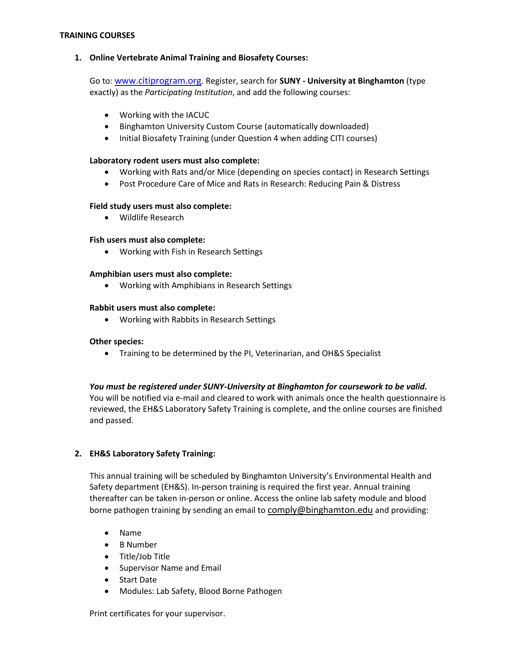### **TRAINING COURSES**

### **1. Online Vertebrate Animal Training and Biosafety Courses:**

Go to: [www.citiprogram.org](http://www.citiprogram.org/). Register, search for **SUNY - University at Binghamton** (type exactly) as the *Participating Institution*, and add the following courses:

- Working with the IACUC
- Binghamton University Custom Course (automatically downloaded)
- Initial Biosafety Training (under Question 4 when adding CITI courses)

#### **Laboratory rodent users must also complete:**

- Working with Rats and/or Mice (depending on species contact) in Research Settings
- Post Procedure Care of Mice and Rats in Research: Reducing Pain & Distress

### **Field study users must also complete:**

Wildlife Research

### **Fish users must also complete:**

Working with Fish in Research Settings

### **Amphibian users must also complete:**

Working with Amphibians in Research Settings

#### **Rabbit users must also complete:**

Working with Rabbits in Research Settings

#### **Other species:**

Training to be determined by the PI, Veterinarian, and OH&S Specialist

## *You must be registered under SUNY-University at Binghamton for coursework to be valid.*

You will be notified via e-mail and cleared to work with animals once the health questionnaire is reviewed, the EH&S Laboratory Safety Training is complete, and the online courses are finished and passed.

## **2. EH&S Laboratory Safety Training:**

This annual training will be scheduled by Binghamton University's Environmental Health and Safety department (EH&S). In-person training is required the first year. Annual training thereafter can be taken in-person or online. Access the online lab safety module and blood borne pathogen training by sending an email to [comply@binghamton.edu](mailto:comply@binghamton.edu) and providing:

- Name
- B Number
- Title/Job Title
- **•** Supervisor Name and Email
- Start Date
- Modules: Lab Safety, Blood Borne Pathogen

Print certificates for your supervisor.